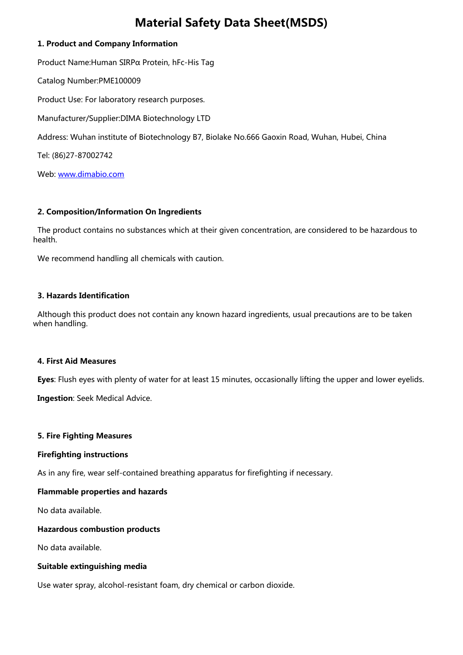# *Material Safety Data Sheet(MSDS)*

# *1. Product and Company Information*

 *Product Name:Human SIRPα Protein, hFc-His Tag*

 *Catalog Number:PME100009*

 *Product Use: For laboratory research purposes.* 

 *Manufacturer/Supplier:DIMA Biotechnology LTD* 

 *Address: Wuhan institute of Biotechnology B7, Biolake No.666 Gaoxin Road, Wuhan, Hubei, China* 

 *Tel: (86)27-87002742* 

 *Web: [www.dimabio.com](https://www.dimabio.com/)*

# *2. Composition/Information On Ingredients*

 *The product contains no substances which at their given concentration, are considered to be hazardous to health.* 

 *We recommend handling all chemicals with caution.* 

# *3. Hazards Identification*

 *Although this product does not contain any known hazard ingredients, usual precautions are to be taken when handling.* 

# *4. First Aid Measures*

 *Eyes: Flush eyes with plenty of water for at least 15 minutes, occasionally lifting the upper and lower eyelids.* 

 *Ingestion: Seek Medical Advice.* 

# *5. Fire Fighting Measures*

# *Firefighting instructions*

 *As in any fire, wear self-contained breathing apparatus for firefighting if necessary.* 

# *Flammable properties and hazards*

 *No data available.* 

# *Hazardous combustion products*

 *No data available.* 

# *Suitable extinguishing media*

 *Use water spray, alcohol-resistant foam, dry chemical or carbon dioxide.*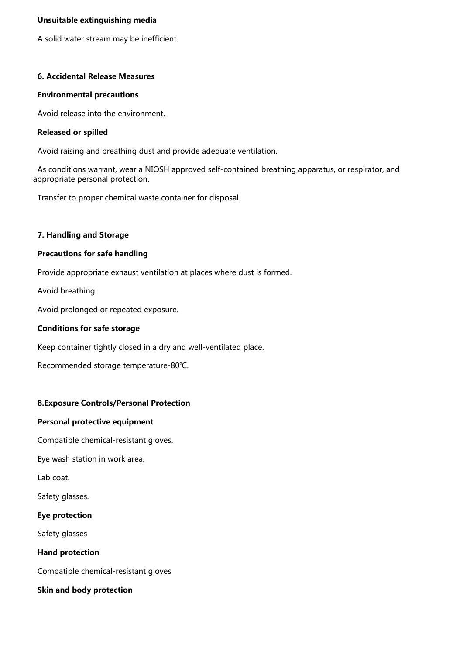## *Unsuitable extinguishing media*

 *A solid water stream may be inefficient.* 

## *6. Accidental Release Measures*

### *Environmental precautions*

 *Avoid release into the environment.* 

## *Released or spilled*

 *Avoid raising and breathing dust and provide adequate ventilation.* 

 *As conditions warrant, wear a NIOSH approved self-contained breathing apparatus, or respirator, and appropriate personal protection.* 

 *Transfer to proper chemical waste container for disposal.* 

## *7. Handling and Storage*

## *Precautions for safe handling*

 *Provide appropriate exhaust ventilation at places where dust is formed.* 

 *Avoid breathing.* 

 *Avoid prolonged or repeated exposure.* 

### *Conditions for safe storage*

 *Keep container tightly closed in a dry and well-ventilated place.* 

 *Recommended storage temperature-80℃.* 

# *8.Exposure Controls/Personal Protection*

#### *Personal protective equipment*

 *Compatible chemical-resistant gloves.* 

 *Eye wash station in work area.* 

 *Lab coat.* 

 *Safety glasses.* 

# *Eye protection*

 *Safety glasses* 

 *Hand protection*

 *Compatible chemical-resistant gloves* 

 *Skin and body protection*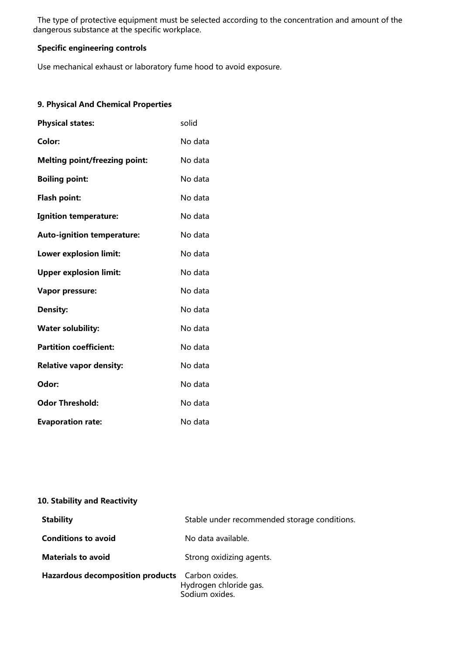*The type of protective equipment must be selected according to the concentration and amount of the dangerous substance at the specific workplace.* 

# *Specific engineering controls*

 *Use mechanical exhaust or laboratory fume hood to avoid exposure.* 

# *9. Physical And Chemical Properties*

| <b>Physical states:</b>              | solid   |
|--------------------------------------|---------|
| Color:                               | No data |
| <b>Melting point/freezing point:</b> | No data |
| <b>Boiling point:</b>                | No data |
| Flash point:                         | No data |
| <b>Ignition temperature:</b>         | No data |
| <b>Auto-ignition temperature:</b>    | No data |
| Lower explosion limit:               | No data |
| <b>Upper explosion limit:</b>        | No data |
| <b>Vapor pressure:</b>               | No data |
| <b>Density:</b>                      | No data |
| <b>Water solubility:</b>             | No data |
| <b>Partition coefficient:</b>        | No data |
| <b>Relative vapor density:</b>       | No data |
| Odor:                                | No data |
| <b>Odor Threshold:</b>               | No data |
| <b>Evaporation rate:</b>             | No data |

# *10. Stability and Reactivity*

| <b>Stability</b>                        | Stable under recommended storage conditions.               |
|-----------------------------------------|------------------------------------------------------------|
| <b>Conditions to avoid</b>              | No data available.                                         |
| <b>Materials to avoid</b>               | Strong oxidizing agents.                                   |
| <b>Hazardous decomposition products</b> | Carbon oxides.<br>Hydrogen chloride gas.<br>Sodium oxides. |